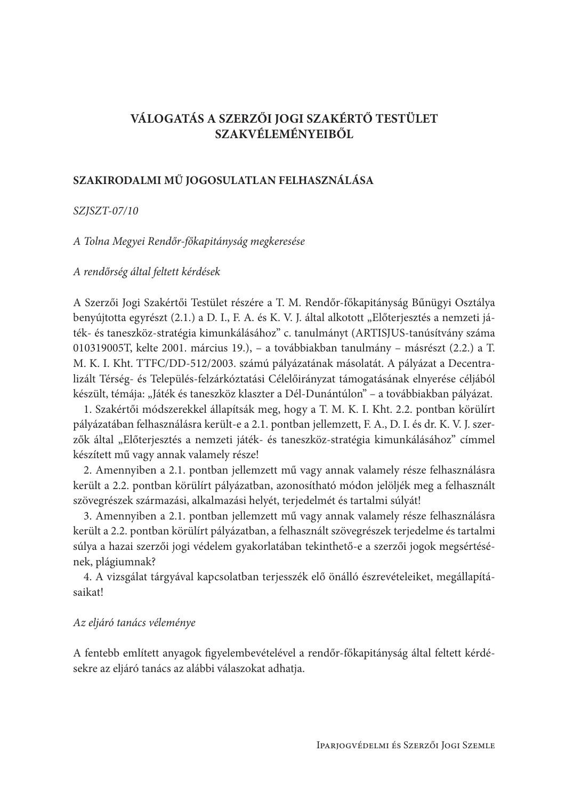# VÁLOGATÁS A SZERZŐI JOGI SZAKÉRTŐ TESTÜLET **SZAKVÉLEMÉNYEIBŐL**

### SZAKIRODALMI MŰ JOGOSULATLAN FELHASZNÁLÁSA

### SZJSZT-07/10

A Tolna Megyei Rendőr-főkapitányság megkeresése

A rendőrség által feltett kérdések

A Szerzői Jogi Szakértői Testület részére a T. M. Rendőr-főkapitányság Bűnügyi Osztálya benyújtotta egyrészt (2.1.) a D. I., F. A. és K. V. J. által alkotott "Előterjesztés a nemzeti játék- és taneszköz-stratégia kimunkálásához" c. tanulmányt (ARTISJUS-tanúsítvány száma 010319005T, kelte 2001. március 19.), – a továbbiakban tanulmány – másrészt (2.2.) a T. M. K. I. Kht. TTFC/DD-512/2003. számú pályázatának másolatát. A pályázat a Decentralizált Térség- és Település-felzárkóztatási Célelőirányzat támogatásának elnyerése céljából készült, témája: "Játék és taneszköz klaszter a Dél-Dunántúlon" – a továbbiakban pályázat.

1. Szakértői módszerekkel állapítsák meg, hogy a T. M. K. I. Kht. 2.2. pontban körülírt pályázatában felhasználásra került-e a 2.1. pontban jellemzett, F. A., D. I. és dr. K. V. J. szerzők által "Előterjesztés a nemzeti játék- és taneszköz-stratégia kimunkálásához" címmel készített mű vagy annak valamely része!

2. Amennyiben a 2.1. pontban jellemzett mű vagy annak valamely része felhasználásra került a 2.2. pontban körülírt pályázatban, azonosítható módon jelöljék meg a felhasznált szövegrészek származási, alkalmazási helyét, terjedelmét és tartalmi súlyát!

3. Amennyiben a 2.1. pontban jellemzett mű vagy annak valamely része felhasználásra került a 2.2. pontban körülírt pályázatban, a felhasznált szövegrészek terjedelme és tartalmi súlya a hazai szerzői jogi védelem gyakorlatában tekinthető-e a szerzői jogok megsértésének, plágiumnak?

4. A vizsgálat tárgyával kapcsolatban terjesszék elő önálló észrevételeiket, megállapításaikat!

### Az eljáró tanács véleménye

A fentebb említett anyagok figyelembevételével a rendőr-főkapitányság által feltett kérdésekre az eljáró tanács az alábbi válaszokat adhatja.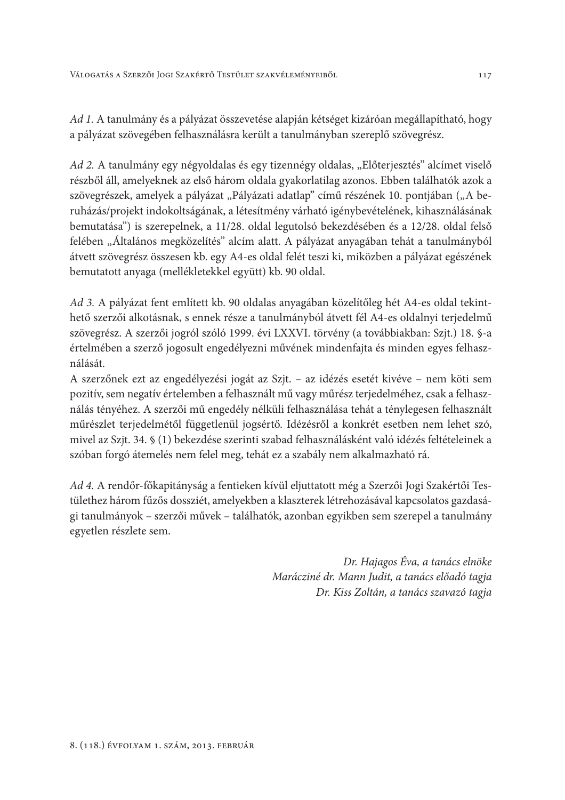Ad 1. A tanulmány és a pályázat összevetése alapján kétséget kizáróan megállapítható, hogy a pályázat szövegében felhasználásra került a tanulmányban szereplő szövegrész.

Ad 2. A tanulmány egy négyoldalas és egy tizennégy oldalas, "Előterjesztés" alcímet viselő részből áll, amelyeknek az első három oldala gyakorlatilag azonos. Ebben találhatók azok a szövegrészek, amelyek a pályázat "Pályázati adatlap" című részének 10. pontjában ("A beruházás/projekt indokoltságának, a létesítmény várható igénybevételének, kihasználásának bemutatása") is szerepelnek, a 11/28. oldal legutolsó bekezdésében és a 12/28. oldal felső felében "Általános megközelítés" alcím alatt. A pályázat anyagában tehát a tanulmányból átvett szövegrész összesen kb. egy A4-es oldal felét teszi ki, miközben a pályázat egészének bemutatott anyaga (mellékletekkel együtt) kb. 90 oldal.

Ad 3. A pályázat fent említett kb. 90 oldalas anyagában közelítőleg hét A4-es oldal tekinthető szerzői alkotásnak, s ennek része a tanulmányból átvett fél A4-es oldalnyi terjedelmű szövegrész. A szerzői jogról szóló 1999. évi LXXVI. törvény (a továbbiakban: Szjt.) 18. §-a értelmében a szerző jogosult engedélyezni művének mindenfajta és minden egyes felhasználását

A szerzőnek ezt az engedélyezési jogát az Szjt. – az idézés esetét kivéve – nem köti sem pozitív, sem negatív értelemben a felhasznált mű vagy műrész terjedelméhez, csak a felhasználás tényéhez. A szerzői mű engedély nélküli felhasználása tehát a ténylegesen felhasznált műrészlet terjedelmétől függetlenül jogsértő. Idézésről a konkrét esetben nem lehet szó, mivel az Szjt. 34. § (1) bekezdése szerinti szabad felhasználásként való idézés feltételeinek a szóban forgó átemelés nem felel meg, tehát ez a szabály nem alkalmazható rá.

Ad 4. A rendőr-főkapitányság a fentieken kívül eljuttatott még a Szerzői Jogi Szakértői Testülethez három fűzős dossziét, amelyekben a klaszterek létrehozásával kapcsolatos gazdasági tanulmányok – szerzői művek – találhatók, azonban egyikben sem szerepel a tanulmány egyetlen részlete sem.

> Dr. Hajagos Éva, a tanács elnöke Marácziné dr. Mann Judit, a tanács előadó tagja Dr. Kiss Zoltán, a tanács szavazó tagja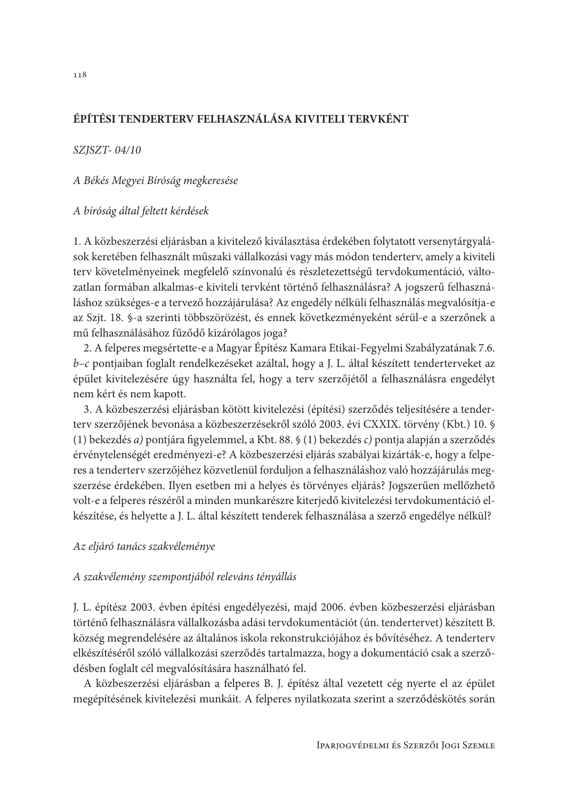## ÉPÍTÉSI TENDERTERV FELHASZNÁLÁSA KIVITELI TERVKÉNT

SZJSZT-04/10

### A Békés Megyei Bíróság megkeresése

### A bíróság által feltett kérdések

1. A közbeszerzési eljárásban a kivitelező kiválasztása érdekében folytatott versenytárgyalások keretében felhasznált műszaki vállalkozási vagy más módon tenderterv, amely a kiviteli terv követelményeinek megfelelő színvonalú és részletezettségű tervdokumentáció, változatlan formában alkalmas-e kiviteli tervként történő felhasználásra? A jogszerű felhasználáshoz szükséges-e a tervező hozzájárulása? Az engedély nélküli felhasználás megyalósítja-e az Szjt. 18. §-a szerinti többszörözést, és ennek következményeként sérül-e a szerzőnek a mű felhasználásához fűződő kizárólagos joga?

2. A felperes megsértette-e a Magyar Építész Kamara Etikai-Fegyelmi Szabályzatának 7.6. b-c pontjaiban foglalt rendelkezéseket azáltal, hogy a J. L. által készített tenderterveket az épület kivitelezésére úgy használta fel, hogy a terv szerzőjétől a felhasználásra engedélyt nem kért és nem kapott.

3. A közbeszerzési eljárásban kötött kivitelezési (építési) szerződés teljesítésére a tenderterv szerzőjének bevonása a közbeszerzésekről szóló 2003. évi CXXIX. törvény (Kbt.) 10. § (1) bekezdés a) pontjára figyelemmel, a Kbt. 88. § (1) bekezdés c) pontja alapján a szerződés érvénytelenségét eredményezi-e? A közbeszerzési eljárás szabályai kizárták-e, hogy a felperes a tenderterv szerzőjéhez közvetlenül forduljon a felhasználáshoz való hozzájárulás megszerzése érdekében. Ilyen esetben mi a helyes és törvényes eljárás? Jogszerűen mellőzhető volt-e a felperes részéről a minden munkarészre kiterjedő kivitelezési tervdokumentáció elkészítése, és helyette a J. L. által készített tenderek felhasználása a szerző engedélye nélkül?

### Az eljáró tanács szakvéleménye

### A szakvélemény szempontjából releváns tényállás

J. L. építész 2003. évben építési engedélyezési, majd 2006. évben közbeszerzési eljárásban történő felhasználásra vállalkozásba adási tervdokumentációt (ún. tendertervet) készített B. község megrendelésére az általános iskola rekonstrukciójához és bővítéséhez. A tenderterv elkészítéséről szóló vállalkozási szerződés tartalmazza, hogy a dokumentáció csak a szerződésben foglalt cél megvalósítására használható fel.

A közbeszerzési eljárásban a felperes B. J. építész által vezetett cég nyerte el az épület megépítésének kivitelezési munkáit. A felperes nyilatkozata szerint a szerződéskötés során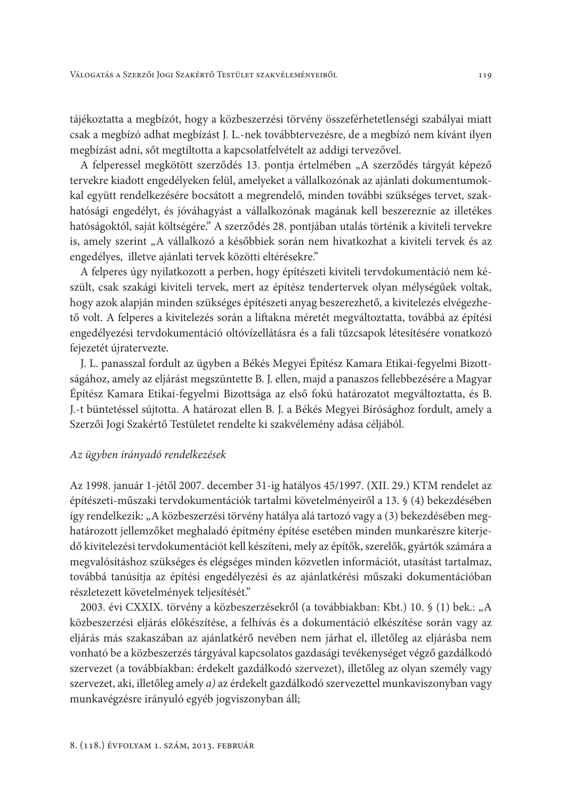tájékoztatta a megbízót, hogy a közbeszerzési törvény összeférhetetlenségi szabályai miatt csak a megbízó adhat megbízást J. L.-nek továbbtervezésre, de a megbízó nem kívánt ilyen megbízást adni, sőt megtiltotta a kapcsolatfelvételt az addigi tervezővel.

A felperessel megkötött szerződés 13. pontja értelmében "A szerződés tárgyát képező tervekre kiadott engedélyeken felül, amelyeket a vállalkozónak az ajánlati dokumentumokkal együtt rendelkezésére bocsátott a megrendelő, minden további szükséges tervet, szakhatósági engedélyt, és jóváhagyást a vállalkozónak magának kell beszereznie az illetékes hatóságoktól, saját költségére." A szerződés 28. pontjában utalás történik a kiviteli tervekre is, amely szerint "A vállalkozó a későbbiek során nem hivatkozhat a kiviteli tervek és az engedélyes, illetve ajánlati tervek közötti eltérésekre."

A felperes úgy nyilatkozott a perben, hogy építészeti kiviteli tervdokumentáció nem készült, csak szakági kiviteli tervek, mert az építész tendertervek olyan mélységűek voltak, hogy azok alapján minden szükséges építészeti anyag beszerezhető, a kivitelezés elvégezhető volt. A felperes a kivitelezés során a liftakna méretét megváltoztatta, továbbá az építési engedélyezési tervdokumentáció oltóvízellátásra és a fali tűzcsapok létesítésére vonatkozó fejezetét újratervezte.

J. L. panasszal fordult az ügyben a Békés Megyei Építész Kamara Etikai-fegyelmi Bizottságához, amely az eljárást megszüntette B. J. ellen, majd a panaszos fellebbezésére a Magyar Építész Kamara Etikai-fegyelmi Bizottsága az első fokú határozatot megváltoztatta, és B. J.-t büntetéssel sújtotta. A határozat ellen B. J. a Békés Megyei Bírósághoz fordult, amely a Szerzői Jogi Szakértő Testületet rendelte ki szakvélemény adása céljából.

#### Az ügyben irányadó rendelkezések

Az 1998. január 1-jétől 2007. december 31-ig hatályos 45/1997. (XII. 29.) KTM rendelet az építészeti-műszaki tervdokumentációk tartalmi követelményeiről a 13. § (4) bekezdésében így rendelkezik: "A közbeszerzési törvény hatálya alá tartozó vagy a (3) bekezdésében meghatározott jellemzőket meghaladó építmény építése esetében minden munkarészre kiterjedő kivitelezési tervdokumentációt kell készíteni, mely az építők, szerelők, gyártók számára a megvalósításhoz szükséges és elégséges minden közvetlen információt, utasítást tartalmaz, továbbá tanúsítja az építési engedélyezési és az ajánlatkérési műszaki dokumentációban részletezett követelmények teljesítését."

2003. évi CXXIX. törvény a közbeszerzésekről (a továbbiakban: Kbt.) 10. § (1) bek.: "A közbeszerzési eljárás előkészítése, a felhívás és a dokumentáció elkészítése során vagy az eljárás más szakaszában az ajánlatkérő nevében nem járhat el, illetőleg az eljárásba nem vonható be a közbeszerzés tárgyával kapcsolatos gazdasági tevékenységet végző gazdálkodó szervezet (a továbbiakban: érdekelt gazdálkodó szervezet), illetőleg az olyan személy vagy szervezet, aki, illetőleg amely a) az érdekelt gazdálkodó szervezettel munkaviszonyban vagy munkavégzésre irányuló egyéb jogviszonyban áll;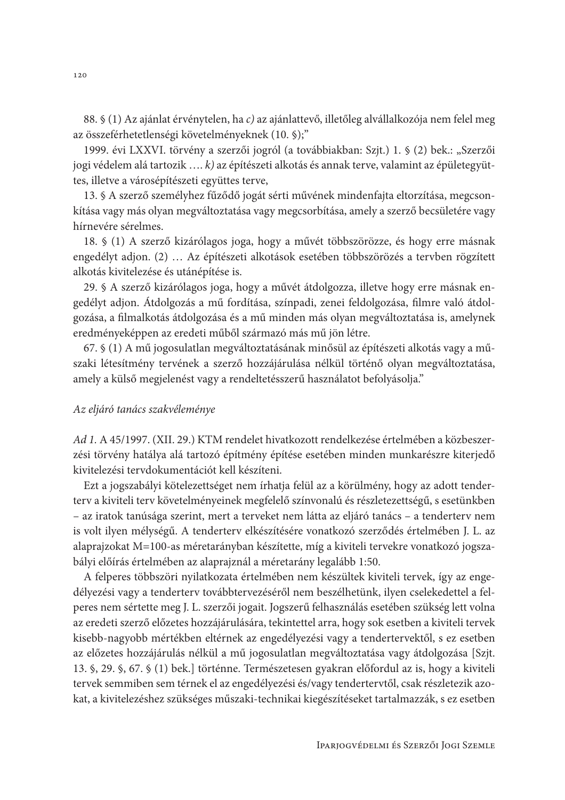88. § (1) Az ajánlat érvénytelen, ha c) az ajánlattevő, illetőleg alvállalkozója nem felel meg az összeférhetetlenségi követelményeknek (10. §);"

1999. évi LXXVI. törvény a szerzői jogról (a továbbiakban: Szjt.) 1. § (2) bek.: "Szerzői jogi védelem alá tartozik .... k) az építészeti alkotás és annak terve, valamint az épületegyüttes, illetve a városépítészeti együttes terve,

13. § A szerző személyhez fűződő jogát sérti művének mindenfajta eltorzítása, megcsonkítása vagy más olyan megváltoztatása vagy megcsorbítása, amely a szerző becsületére vagy hírnevére sérelmes.

18. § (1) A szerző kizárólagos joga, hogy a művét többszörözze, és hogy erre másnak engedélyt adjon. (2) ... Az építészeti alkotások esetében többszörözés a tervben rögzített alkotás kivitelezése és utánépítése is.

29. § A szerző kizárólagos joga, hogy a művét átdolgozza, illetve hogy erre másnak engedélyt adjon. Átdolgozás a mű fordítása, színpadi, zenei feldolgozása, filmre való átdolgozása, a filmalkotás átdolgozása és a mű minden más olyan megváltoztatása is, amelynek eredményeképpen az eredeti műből származó más mű jön létre.

67. § (1) A mű jogosulatlan megváltoztatásának minősül az építészeti alkotás vagy a műszaki létesítmény tervének a szerző hozzájárulása nélkül történő olyan megváltoztatása, amely a külső megjelenést vagy a rendeltetésszerű használatot befolyásolja."

### Az eljáró tanács szakvéleménye

Ad 1. A 45/1997. (XII. 29.) KTM rendelet hivatkozott rendelkezése értelmében a közbeszerzési törvény hatálya alá tartozó építmény építése esetében minden munkarészre kiterjedő kivitelezési tervdokumentációt kell készíteni.

Ezt a jogszabályi kötelezettséget nem írhatja felül az a körülmény, hogy az adott tenderterv a kiviteli terv követelményeinek megfelelő színvonalú és részletezettségű, s esetünkben - az iratok tanúsága szerint, mert a terveket nem látta az eljáró tanács - a tendertery nem is volt ilyen mélységű. A tenderterv elkészítésére vonatkozó szerződés értelmében J. L. az alaprajzokat M=100-as méretarányban készítette, míg a kiviteli tervekre vonatkozó jogszabályi előírás értelmében az alaprajznál a méretarány legalább 1:50.

A felperes többszöri nyilatkozata értelmében nem készültek kiviteli tervek, így az engedélyezési vagy a tenderterv továbbtervezéséről nem beszélhetünk, ilyen cselekedettel a felperes nem sértette meg J. L. szerzői jogait. Jogszerű felhasználás esetében szükség lett volna az eredeti szerző előzetes hozzájárulására, tekintettel arra, hogy sok esetben a kiviteli tervek kisebb-nagyobb mértékben eltérnek az engedélyezési vagy a tendertervektől, s ez esetben az előzetes hozzájárulás nélkül a mű jogosulatlan megváltoztatása vagy átdolgozása [Szjt. 13. §, 29. §, 67. § (1) bek.] történne. Természetesen gyakran előfordul az is, hogy a kiviteli tervek semmiben sem térnek el az engedélyezési és/vagy tendertervtől, csak részletezik azokat, a kivitelezéshez szükséges műszaki-technikai kiegészítéseket tartalmazzák, s ez esetben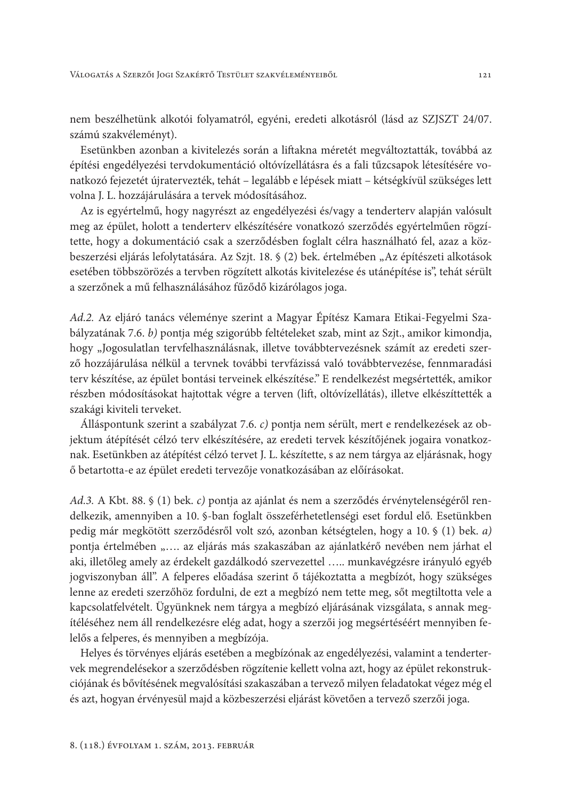nem beszélhetünk alkotói folyamatról, egyéni, eredeti alkotásról (lásd az SZJSZT 24/07. számú szakvéleményt).

Esetünkben azonban a kivitelezés során a liftakna méretét megváltoztatták, továbbá az építési engedélyezési tervdokumentáció oltóvízellátásra és a fali tűzcsapok létesítésére vonatkozó fejezetét újratervezték, tehát - legalább e lépések miatt - kétségkívül szükséges lett volna J. L. hozzájárulására a tervek módosításához.

Az is egyértelmű, hogy nagyrészt az engedélyezési és/vagy a tenderterv alapján valósult meg az épület, holott a tenderterv elkészítésére vonatkozó szerződés egyértelműen rögzítette, hogy a dokumentáció csak a szerződésben foglalt célra használható fel, azaz a közbeszerzési eljárás lefolytatására. Az Szjt. 18. § (2) bek. értelmében "Az építészeti alkotások esetében többszörözés a tervben rögzített alkotás kivitelezése és utánépítése is", tehát sérült a szerzőnek a mű felhasználásához fűződő kizárólagos joga.

Ad.2. Az eljáró tanács véleménye szerint a Magyar Építész Kamara Etikai-Fegyelmi Szabályzatának 7.6. b) pontja még szigorúbb feltételeket szab, mint az Szjt., amikor kimondja, hogy "Jogosulatlan tervfelhasználásnak, illetve továbbtervezésnek számít az eredeti szerző hozzájárulása nélkül a tervnek további tervfázissá való továbbtervezése, fennmaradási terv készítése, az épület bontási terveinek elkészítése." E rendelkezést megsértették, amikor részben módosításokat hajtottak végre a terven (lift, oltóvízellátás), illetve elkészíttették a szakági kiviteli terveket.

Álláspontunk szerint a szabályzat 7.6. c) pontja nem sérült, mert e rendelkezések az objektum átépítését célzó terv elkészítésére, az eredeti tervek készítőjének jogaira vonatkoznak. Esetünkben az átépítést célzó tervet J. L. készítette, s az nem tárgya az eljárásnak, hogy ő betartotta-e az épület eredeti tervezője vonatkozásában az előírásokat.

Ad.3. A Kbt. 88. § (1) bek. c) pontja az ajánlat és nem a szerződés érvénytelenségéről rendelkezik, amennyiben a 10. §-ban foglalt összeférhetetlenségi eset fordul elő. Esetünkben pedig már megkötött szerződésről volt szó, azonban kétségtelen, hogy a 10. § (1) bek. a) pontja értelmében ".... az eljárás más szakaszában az ajánlatkérő nevében nem járhat el aki, illetőleg amely az érdekelt gazdálkodó szervezettel ..... munkavégzésre irányuló egyéb jogviszonyban áll". A felperes előadása szerint ő tájékoztatta a megbízót, hogy szükséges lenne az eredeti szerzőhöz fordulni, de ezt a megbízó nem tette meg, sőt megtiltotta vele a kapcsolatfelvételt. Ügyünknek nem tárgya a megbízó eljárásának vizsgálata, s annak megítéléséhez nem áll rendelkezésre elég adat, hogy a szerzői jog megsértéséért mennyiben felelős a felperes, és mennyiben a megbízója.

Helyes és törvényes eljárás esetében a megbízónak az engedélyezési, valamint a tendertervek megrendelésekor a szerződésben rögzítenie kellett volna azt, hogy az épület rekonstrukciójának és bővítésének megvalósítási szakaszában a tervező milyen feladatokat végez még el és azt, hogyan érvényesül majd a közbeszerzési eljárást követően a tervező szerzői joga.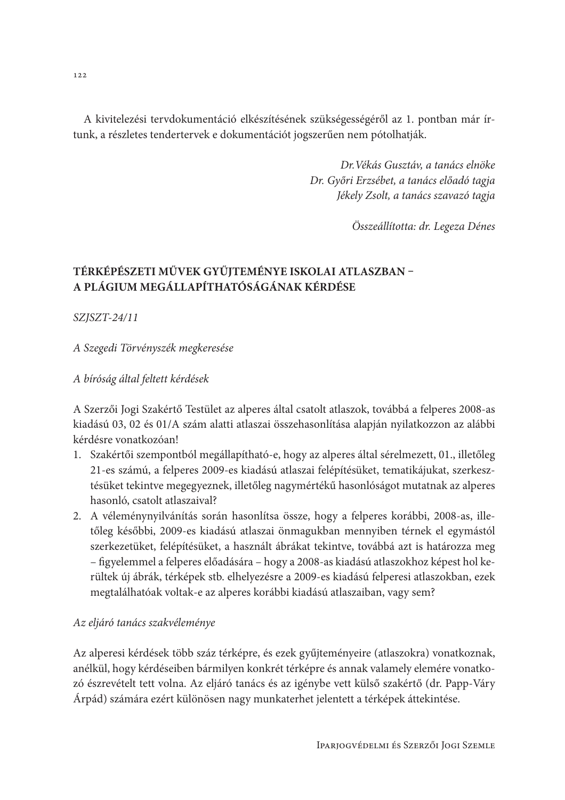A kivitelezési tervdokumentáció elkészítésének szükségességéről az 1. pontban már írtunk, a részletes tendertervek e dokumentációt jogszerűen nem pótolhatják.

> Dr. Vékás Gusztáv, a tanács elnöke Dr. Győri Erzsébet, a tanács előadó tagja Jékely Zsolt, a tanács szavazó tagja

> > Összeállította: dr. Legeza Dénes

# TÉRKÉPÉSZETI MŰVEK GYŰJTEMÉNYE ISKOLAI ATLASZBAN -A PLÁGIUM MEGÁLLAPÍTHATÓSÁGÁNAK KÉRDÉSE

 $SZ$ JSZT-24/11

A Szegedi Törvényszék megkeresése

A bíróság által feltett kérdések

A Szerzői Jogi Szakértő Testület az alperes által csatolt atlaszok, továbbá a felperes 2008-as kiadású 03, 02 és 01/A szám alatti atlaszai összehasonlítása alapján nyilatkozzon az alábbi kérdésre vonatkozóan!

- 1. Szakértői szempontból megállapítható-e, hogy az alperes által sérelmezett, 01., illetőleg 21-es számú, a felperes 2009-es kiadású atlaszai felépítésüket, tematikájukat, szerkesztésüket tekintve megegyeznek, illetőleg nagymértékű hasonlóságot mutatnak az alperes hasonló, csatolt atlaszaival?
- 2. A véleménynyilvánítás során hasonlítsa össze, hogy a felperes korábbi, 2008-as, illetőleg későbbi, 2009-es kiadású atlaszai önmagukban mennyiben térnek el egymástól szerkezetüket, felépítésüket, a használt ábrákat tekintve, továbbá azt is határozza meg - figyelemmel a felperes előadására – hogy a 2008-as kiadású atlaszokhoz képest hol kerültek új ábrák, térképek stb. elhelyezésre a 2009-es kiadású felperesi atlaszokban, ezek megtalálhatóak voltak-e az alperes korábbi kiadású atlaszaiban, vagy sem?

### Az eljáró tanács szakvéleménye

Az alperesi kérdések több száz térképre, és ezek gyűjteményeire (atlaszokra) vonatkoznak, anélkül, hogy kérdéseiben bármilyen konkrét térképre és annak valamely elemére vonatkozó észrevételt tett volna. Az eljáró tanács és az igénybe vett külső szakértő (dr. Papp-Váry Árpád) számára ezért különösen nagy munkaterhet jelentett a térképek áttekintése.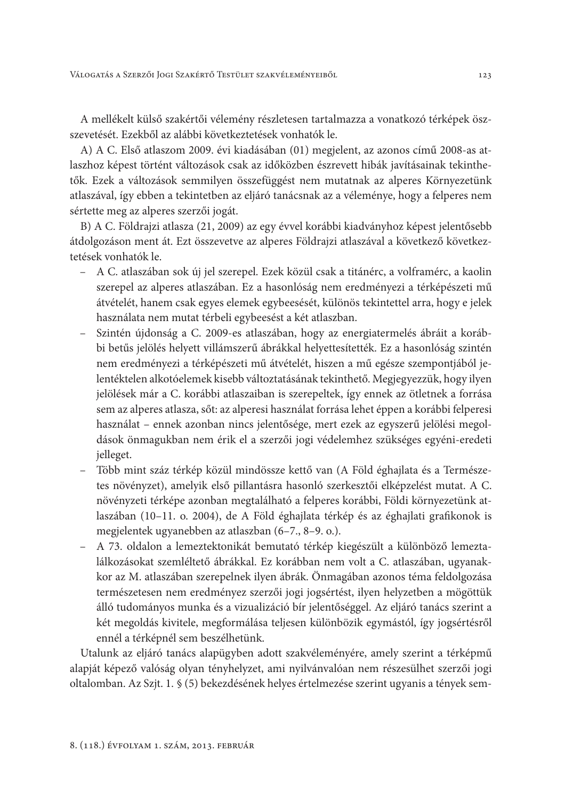A mellékelt külső szakértői vélemény részletesen tartalmazza a vonatkozó térképek öszszevetését. Ezekből az alábbi következtetések vonhatók le.

A) A C. Első atlaszom 2009. évi kiadásában (01) megjelent, az azonos című 2008-as atlaszhoz képest történt változások csak az időközben észrevett hibák javításainak tekinthetők. Ezek a változások semmilyen összefüggést nem mutatnak az alperes Környezetünk atlaszával, így ebben a tekintetben az eljáró tanácsnak az a véleménye, hogy a felperes nem sértette meg az alperes szerzői jogát.

B) A C. Földrajzi atlasza (21, 2009) az egy évvel korábbi kiadványhoz képest jelentősebb átdolgozáson ment át. Ezt összevetve az alperes Földrajzi atlaszával a következő következtetések vonhatók le.

- A C. atlaszában sok új jel szerepel. Ezek közül csak a titánérc, a volframérc, a kaolin szerepel az alperes atlaszában. Ez a hasonlóság nem eredményezi a térképészeti mű átvételét, hanem csak egyes elemek egybeesését, különös tekintettel arra, hogy e jelek használata nem mutat térbeli egybeesést a két atlaszban.
- Szintén újdonság a C. 2009-es atlaszában, hogy az energiatermelés ábráit a korábbi betűs jelölés helyett villámszerű ábrákkal helyettesítették. Ez a hasonlóság szintén nem eredményezi a térképészeti mű átvételét, hiszen a mű egésze szempontjából jelentéktelen alkotóelemek kisebb változtatásának tekinthető. Megjegyezzük, hogy ilyen jelölések már a C. korábbi atlaszaiban is szerepeltek, így ennek az ötletnek a forrása sem az alperes atlasza, sőt: az alperesi használat forrása lehet éppen a korábbi felperesi használat – ennek azonban nincs jelentősége, mert ezek az egyszerű jelölési megoldások önmagukban nem érik el a szerzői jogi védelemhez szükséges egyéni-eredeti jelleget.
- Több mint száz térkép közül mindössze kettő van (A Föld éghajlata és a Természetes növényzet), amelyik első pillantásra hasonló szerkesztői elképzelést mutat. A C. növényzeti térképe azonban megtalálható a felperes korábbi, Földi környezetünk atlaszában (10-11. o. 2004), de A Föld éghajlata térkép és az éghajlati grafikonok is megjelentek ugyanebben az atlaszban (6–7., 8–9. o.).
- A 73. oldalon a lemeztektonikát bemutató térkép kiegészült a különböző lemeztalálkozásokat szemléltető ábrákkal. Ez korábban nem volt a C. atlaszában, ugyanakkor az M. atlaszában szerepelnek ilyen ábrák. Önmagában azonos téma feldolgozása természetesen nem eredményez szerzői jogi jogsértést, ilyen helyzetben a mögöttük álló tudományos munka és a vizualizáció bír jelentőséggel. Az eljáró tanács szerint a két megoldás kivitele, megformálása teljesen különbözik egymástól, így jogsértésről ennél a térképnél sem beszélhetünk.

Utalunk az eljáró tanács alapügyben adott szakvéleményére, amely szerint a térképmű alapját képező valóság olyan tényhelyzet, ami nyilvánvalóan nem részesülhet szerzői jogi oltalomban. Az Szjt. 1. § (5) bekezdésének helyes értelmezése szerint ugyanis a tények sem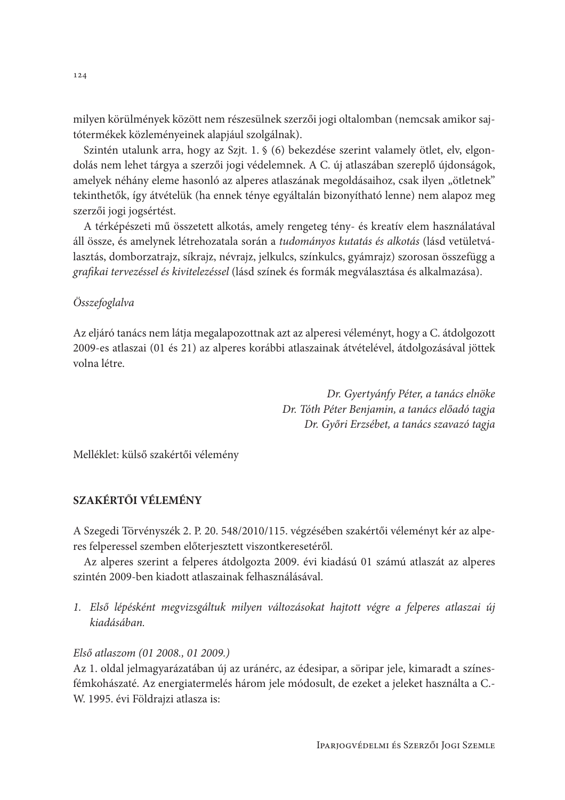milyen körülmények között nem részesülnek szerzői jogi oltalomban (nemcsak amikor sajtótermékek közleményeinek alapjául szolgálnak).

Szintén utalunk arra, hogy az Szjt. 1. § (6) bekezdése szerint valamely ötlet, elv, elgondolás nem lehet tárgya a szerzői jogi védelemnek. A C. új atlaszában szereplő újdonságok, amelyek néhány eleme hasonló az alperes atlaszának megoldásaihoz, csak ilyen "ötletnek" tekinthetők, így átvételük (ha ennek ténye egyáltalán bizonyítható lenne) nem alapoz meg szerzői jogi jogsértést.

A térképészeti mű összetett alkotás, amely rengeteg tény- és kreatív elem használatával áll össze, és amelynek létrehozatala során a tudományos kutatás és alkotás (lásd vetületválasztás, domborzatrajz, síkrajz, névrajz, jelkulcs, színkulcs, gyámrajz) szorosan összefügg a grafikai tervezéssel és kivitelezéssel (lásd színek és formák megválasztása és alkalmazása).

## Összefoglalva

Az eljáró tanács nem látja megalapozottnak azt az alperesi véleményt, hogy a C. átdolgozott 2009-es atlaszai (01 és 21) az alperes korábbi atlaszainak átvételével, átdolgozásával jöttek volna létre

> Dr. Gyertyánfy Péter, a tanács elnöke Dr. Tóth Péter Benjamin, a tanács előadó tagja Dr. Győri Erzsébet, a tanács szavazó tagja

Melléklet: külső szakértői vélemény

## SZAKÉRTŐI VÉLEMÉNY

A Szegedi Törvényszék 2. P. 20. 548/2010/115. végzésében szakértői véleményt kér az alperes felperessel szemben előterjesztett viszontkeresetéről.

Az alperes szerint a felperes átdolgozta 2009. évi kiadású 01 számú atlaszát az alperes szintén 2009-ben kiadott atlaszainak felhasználásával.

1. Első lépésként megvizsgáltuk milyen változásokat hajtott végre a felperes atlaszai új kiadásában

### Első atlaszom (01 2008., 01 2009.)

Az 1. oldal jelmagyarázatában új az uránérc, az édesipar, a söripar jele, kimaradt a színesfémkohászaté. Az energiatermelés három jele módosult, de ezeket a jeleket használta a C.-W. 1995. évi Földrajzi atlasza is: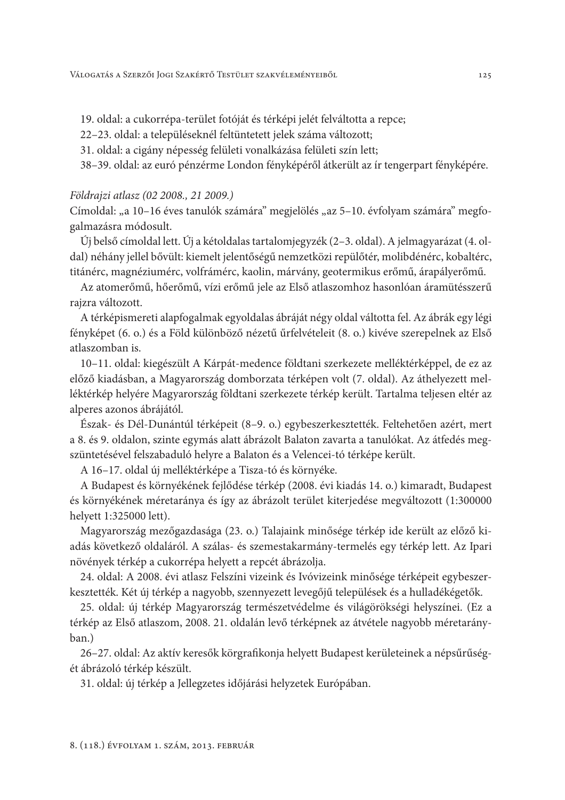19. oldal: a cukorrépa-terület fotóját és térképi jelét felváltotta a repce;

22-23. oldal: a településeknél feltüntetett jelek száma változott;

31. oldal: a cigány népesség felületi vonalkázása felületi szín lett;

38-39. oldal: az euró pénzérme London fényképéről átkerült az ír tengerpart fényképére.

### Földrajzi atlasz (02 2008., 21 2009.)

Címoldal: "a 10-16 éves tanulók számára" megjelölés "az 5-10. évfolyam számára" megfogalmazásra módosult.

Új belső címoldal lett. Új a kétoldalas tartalomjegyzék (2–3. oldal). A jelmagyarázat (4. oldal) néhány jellel bővült: kiemelt jelentőségű nemzetközi repülőtér, molibdénérc, kobaltérc, titánérc, magnéziumérc, volfrámérc, kaolin, márvány, geotermikus erőmű, árapályerőmű.

Az atomerőmű, hőerőmű, vízi erőmű jele az Első atlaszomhoz hasonlóan áramütésszerű rajzra változott.

A térképismereti alapfogalmak egyoldalas ábráját négy oldal váltotta fel. Az ábrák egy légi fényképet (6. o.) és a Föld különböző nézetű űrfelvételeit (8. o.) kivéve szerepelnek az Első atlaszomban is.

10-11. oldal: kiegészült A Kárpát-medence földtani szerkezete melléktérképpel, de ez az előző kiadásban, a Magyarország domborzata térképen volt (7. oldal). Az áthelyezett melléktérkép helyére Magyarország földtani szerkezete térkép került. Tartalma teljesen eltér az alperes azonos ábrájától.

Észak- és Dél-Dunántúl térképeit (8–9. o.) egybeszerkesztették. Feltehetően azért, mert a 8. és 9. oldalon, szinte egymás alatt ábrázolt Balaton zavarta a tanulókat. Az átfedés megszüntetésével felszabaduló helyre a Balaton és a Velencei-tó térképe került.

A 16-17. oldal új melléktérképe a Tisza-tó és környéke.

A Budapest és környékének fejlődése térkép (2008. évi kiadás 14. o.) kimaradt, Budapest és környékének méretaránya és így az ábrázolt terület kiterjedése megváltozott (1:300000 helyett 1:325000 lett).

Magyarország mezőgazdasága (23. o.) Talajaink minősége térkép ide került az előző kiadás következő oldaláról. A szálas- és szemestakarmány-termelés egy térkép lett. Az Ipari növények térkép a cukorrépa helyett a repcét ábrázolja.

24. oldal: A 2008. évi atlasz Felszíni vizeink és Ivóvizeink minősége térképeit egybeszerkesztették. Két új térkép a nagyobb, szennyezett levegőjű települések és a hulladékégetők.

25. oldal: új térkép Magyarország természetvédelme és világörökségi helyszínei. (Ez a térkép az Első atlaszom, 2008. 21. oldalán levő térképnek az átvétele nagyobb méretarányban.)

26-27. oldal: Az aktív keresők körgrafikonja helyett Budapest kerületeinek a népsűrűségét ábrázoló térkép készült.

31. oldal: új térkép a Jellegzetes időjárási helyzetek Európában.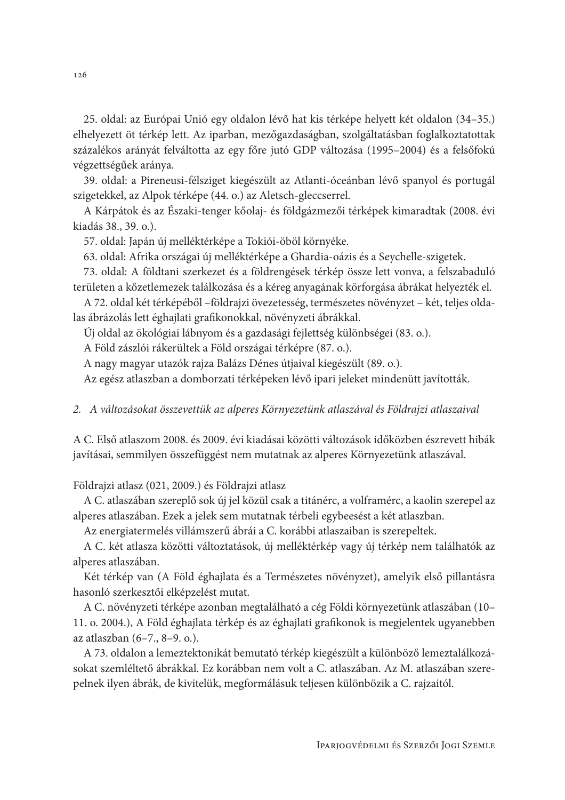25. oldal: az Európai Unió egy oldalon lévő hat kis térképe helyett két oldalon (34–35.) elhelyezett öt térkép lett. Az iparban, mezőgazdaságban, szolgáltatásban foglalkoztatottak százalékos arányát felváltotta az egy főre jutó GDP változása (1995–2004) és a felsőfokú végzettségűek aránya.

39. oldal: a Pireneusi-félsziget kiegészült az Atlanti-óceánban lévő spanyol és portugál szigetekkel, az Alpok térképe (44. o.) az Aletsch-gleccserrel.

A Kárpátok és az Északi-tenger kőolaj- és földgázmezői térképek kimaradtak (2008. évi kiadás 38., 39. o.).

57. oldal: Japán új melléktérképe a Tokiói-öböl környéke.

63. oldal: Afrika országai új melléktérképe a Ghardia-oázis és a Seychelle-szigetek.

73. oldal: A földtani szerkezet és a földrengések térkép össze lett vonva, a felszabaduló területen a kőzetlemezek találkozása és a kéreg anyagának körforgása ábrákat helyezték el.

A 72. oldal két térképéből -földrajzi övezetesség, természetes növényzet – két, teljes oldalas ábrázolás lett éghajlati grafikonokkal, növényzeti ábrákkal.

Új oldal az ökológiai lábnyom és a gazdasági fejlettség különbségei (83. o.).

A Föld zászlói rákerültek a Föld országai térképre (87. o.).

A nagy magyar utazók rajza Balázs Dénes útjaival kiegészült (89. o.).

Az egész atlaszban a domborzati térképeken lévő ipari jeleket mindenütt javították.

2. A változásokat összevettük az alperes Környezetünk atlaszával és Földrajzi atlaszaival

A C. Első atlaszom 2008. és 2009. évi kiadásai közötti változások időközben észrevett hibák javításai, semmilyen összefüggést nem mutatnak az alperes Környezetünk atlaszával.

Földrajzi atlasz (021, 2009.) és Földrajzi atlasz

A C. atlaszában szereplő sok új jel közül csak a titánérc, a volframérc, a kaolin szerepel az alperes atlaszában. Ezek a jelek sem mutatnak térbeli egybeesést a két atlaszban.

Az energiatermelés villámszerű ábrái a C. korábbi atlaszaiban is szerepeltek.

A C. két atlasza közötti változtatások, új melléktérkép vagy új térkép nem találhatók az alperes atlaszában.

Két térkép van (A Föld éghajlata és a Természetes növényzet), amelyik első pillantásra hasonló szerkesztői elképzelést mutat.

A C. növényzeti térképe azonban megtalálható a cég Földi környezetünk atlaszában (10-11. o. 2004.), A Föld éghajlata térkép és az éghajlati grafikonok is megjelentek ugyanebben az atlaszban (6-7., 8-9. o.).

A 73. oldalon a lemeztektonikát bemutató térkép kiegészült a különböző lemeztalálkozásokat szemléltető ábrákkal. Ez korábban nem volt a C. atlaszában. Az M. atlaszában szerepelnek ilyen ábrák, de kivitelük, megformálásuk teljesen különbözik a C. rajzaitól.